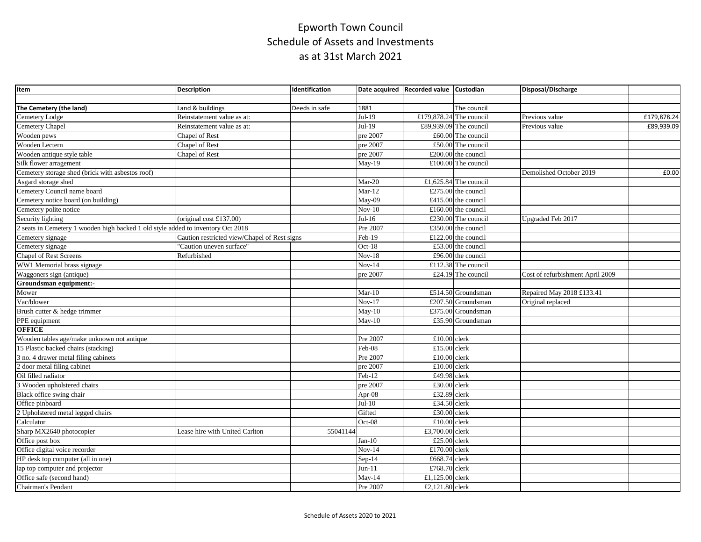| Item                                                                             | <b>Description</b>                           | <b>Identification</b> |                            | Date acquired Recorded value Custodian |                        | Disposal/Discharge               |             |
|----------------------------------------------------------------------------------|----------------------------------------------|-----------------------|----------------------------|----------------------------------------|------------------------|----------------------------------|-------------|
|                                                                                  |                                              |                       |                            |                                        |                        |                                  |             |
| The Cemetery (the land)                                                          | Land & buildings                             | Deeds in safe         | 1881                       |                                        | The council            |                                  |             |
| Cemetery Lodge                                                                   | Reinstatement value as at:                   |                       | $Jul-19$                   | £179,878.24 The council                |                        | Previous value                   | £179,878.24 |
| Cemetery Chapel                                                                  | Reinstatement value as at:                   |                       | $Jul-19$                   |                                        | £89,939.09 The council | Previous value                   | £89,939.09  |
| Wooden pews                                                                      | Chapel of Rest                               |                       | pre 2007                   |                                        | £60.00 The council     |                                  |             |
| Wooden Lectern                                                                   | Chapel of Rest                               |                       | pre 2007                   |                                        | £50.00 The council     |                                  |             |
| Wooden antique style table                                                       | Chapel of Rest                               |                       | pre 2007                   |                                        | £200.00 the council    |                                  |             |
| Silk flower arragement                                                           |                                              |                       | May-19                     |                                        | £100.00 The council    |                                  |             |
| Cemetery storage shed (brick with asbestos roof)                                 |                                              |                       |                            |                                        |                        | Demolished October 2019          | £0.00       |
| Asgard storage shed                                                              |                                              |                       | Mar-20                     |                                        | £1,625.84 The council  |                                  |             |
| Cemetery Council name board                                                      |                                              |                       | $Mar-12$                   |                                        | £275.00 the council    |                                  |             |
| Cemetery notice board (on building)                                              |                                              |                       | May-09                     |                                        | £415.00 the council    |                                  |             |
| Cemetery polite notice                                                           |                                              |                       | $Nov-10$                   |                                        | £160.00 the council    |                                  |             |
| Security lighting                                                                | (original cost $£137.00$ )                   |                       | $Jul-16$                   |                                        | £230.00 The council    | Upgraded Feb 2017                |             |
| 2 seats in Cemetery 1 wooden high backed 1 old style added to inventory Oct 2018 |                                              |                       | Pre 2007                   |                                        | £350.00 the council    |                                  |             |
| Cemetery signage                                                                 | Caution restricted view/Chapel of Rest signs |                       | Feb-19                     |                                        | £122.00 the council    |                                  |             |
| Cemetery signage                                                                 | 'Caution uneven surface"                     |                       | Oct-18                     |                                        | £53.00 the council     |                                  |             |
| Chapel of Rest Screens                                                           | Refurbished                                  |                       | $\overline{\text{Nov-18}}$ |                                        | £96.00 the council     |                                  |             |
| WW1 Memorial brass signage                                                       |                                              |                       | $Nov-14$                   |                                        | £112.38 The council    |                                  |             |
| Waggoners sign (antique)                                                         |                                              |                       | pre 2007                   |                                        | £24.19 The council     | Cost of refurbishment April 2009 |             |
| Groundsman equipment:-                                                           |                                              |                       |                            |                                        |                        |                                  |             |
| Mower                                                                            |                                              |                       | $Mar-10$                   |                                        | £514.50 Groundsman     | Repaired May 2018 £133.41        |             |
| Vac/blower                                                                       |                                              |                       | $Nov-17$                   |                                        | £207.50 Groundsman     | Original replaced                |             |
| Brush cutter & hedge trimmer                                                     |                                              |                       | $May-10$                   |                                        | £375.00 Groundsman     |                                  |             |
| PPE equipment                                                                    |                                              |                       | $May-10$                   |                                        | £35.90 Groundsman      |                                  |             |
| <b>OFFICE</b>                                                                    |                                              |                       |                            |                                        |                        |                                  |             |
| Wooden tables age/make unknown not antique                                       |                                              |                       | Pre 2007                   | £10.00 clerk                           |                        |                                  |             |
| 15 Plastic backed chairs (stacking)                                              |                                              |                       | Feb-08                     | £15.00 clerk                           |                        |                                  |             |
| 3 no. 4 drawer metal filing cabinets                                             |                                              |                       | Pre 2007                   | £10.00 clerk                           |                        |                                  |             |
| 2 door metal filing cabinet                                                      |                                              |                       | pre 2007                   | £10.00 clerk                           |                        |                                  |             |
| Oil filled radiator                                                              |                                              |                       | Feb-12                     | £49.98 clerk                           |                        |                                  |             |
| 3 Wooden upholstered chairs                                                      |                                              |                       | pre 2007                   | £30.00 clerk                           |                        |                                  |             |
| Black office swing chair                                                         |                                              |                       | Apr-08                     | £32.89 clerk                           |                        |                                  |             |
| Office pinboard                                                                  |                                              |                       | $Jul-10$                   | £34.50 clerk                           |                        |                                  |             |
| 2 Upholstered metal legged chairs                                                |                                              |                       | Gifted                     | £30.00 clerk                           |                        |                                  |             |
| Calculator                                                                       |                                              |                       | Oct-08                     | £10.00 clerk                           |                        |                                  |             |
| Sharp MX2640 photocopier                                                         | Lease hire with United Carlton               | 55041144              |                            | £3,700.00 clerk                        |                        |                                  |             |
| Office post box                                                                  |                                              |                       | $Jan-10$                   | £25.00 clerk                           |                        |                                  |             |
| Office digital voice recorder                                                    |                                              |                       | $Nov-14$                   | £170.00 clerk                          |                        |                                  |             |
| HP desk top computer (all in one)                                                |                                              |                       | $Sep-14$                   | £668.74 clerk                          |                        |                                  |             |
| lap top computer and projector                                                   |                                              |                       | $Jun-11$                   | £768.70 clerk                          |                        |                                  |             |
| Office safe (second hand)                                                        |                                              |                       | $May-14$                   | £1,125.00 clerk                        |                        |                                  |             |
| Chairman's Pendant                                                               |                                              |                       | Pre 2007                   | £2,121.80 clerk                        |                        |                                  |             |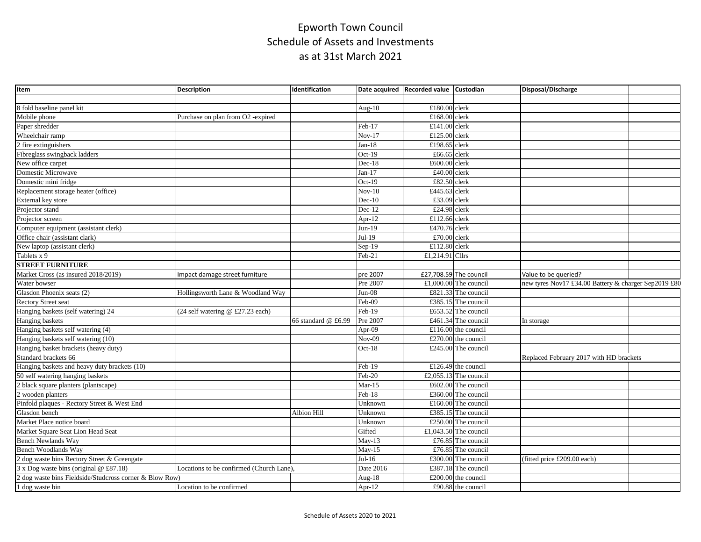| Item                                                    | <b>Description</b>                       | Identification      |           | Date acquired Recorded value Custodian |                        | Disposal/Discharge                                   |  |
|---------------------------------------------------------|------------------------------------------|---------------------|-----------|----------------------------------------|------------------------|------------------------------------------------------|--|
|                                                         |                                          |                     |           |                                        |                        |                                                      |  |
| 8 fold baseline panel kit                               |                                          |                     | Aug- $10$ | £180.00 clerk                          |                        |                                                      |  |
| Mobile phone                                            | Purchase on plan from O2 -expired        |                     |           | £168.00 clerk                          |                        |                                                      |  |
| Paper shredder                                          |                                          |                     | Feb-17    | £141.00 clerk                          |                        |                                                      |  |
| Wheelchair ramp                                         |                                          |                     | $Nov-17$  | £125.00 clerk                          |                        |                                                      |  |
| 2 fire extinguishers                                    |                                          |                     | $Jan-18$  | £198.65 clerk                          |                        |                                                      |  |
| Fibreglass swingback ladders                            |                                          |                     | $Oct-19$  | £66.65 clerk                           |                        |                                                      |  |
| New office carpet                                       |                                          |                     | $Dec-18$  | £600.00 clerk                          |                        |                                                      |  |
| <b>Domestic Microwave</b>                               |                                          |                     | $Jan-17$  | £40.00 clerk                           |                        |                                                      |  |
| Domestic mini fridge                                    |                                          |                     | Oct-19    | £82.50 clerk                           |                        |                                                      |  |
| Replacement storage heater (office)                     |                                          |                     | $Nov-10$  | £445.63 clerk                          |                        |                                                      |  |
| External key store                                      |                                          |                     | $Dec-10$  | £33.09 clerk                           |                        |                                                      |  |
| Projector stand                                         |                                          |                     | $Dec-12$  | £24.98 clerk                           |                        |                                                      |  |
| Projector screen                                        |                                          |                     | Apr-12    | £112.66 clerk                          |                        |                                                      |  |
| Computer equipment (assistant clerk)                    |                                          |                     | $Jun-19$  | £470.76 clerk                          |                        |                                                      |  |
| Office chair (assistant clark)                          |                                          |                     | $Jul-19$  | £70.00 clerk                           |                        |                                                      |  |
| New laptop (assistant clerk)                            |                                          |                     | Sep-19    | £112.80 clerk                          |                        |                                                      |  |
| Tablets x 9                                             |                                          |                     | Feb-21    | £1,214.91 Cllrs                        |                        |                                                      |  |
| <b>STREET FURNITURE</b>                                 |                                          |                     |           |                                        |                        |                                                      |  |
| Market Cross (as insured 2018/2019)                     | Impact damage street furniture           |                     | pre 2007  |                                        | £27,708.59 The council | Value to be queried?                                 |  |
| Water bowser                                            |                                          |                     | Pre 2007  |                                        | £1,000.00 The council  | new tyres Nov17 £34.00 Battery & charger Sep2019 £80 |  |
| Glasdon Phoenix seats (2)                               | Hollingsworth Lane & Woodland Way        |                     | $Jun-08$  |                                        | £821.33 The council    |                                                      |  |
| <b>Rectory Street seat</b>                              |                                          |                     | Feb-09    |                                        | £385.15 The council    |                                                      |  |
| Hanging baskets (self watering) 24                      | (24 self watering @ £27.23 each)         |                     | Feb-19    |                                        | £653.52 The council    |                                                      |  |
| Hanging baskets                                         |                                          | 66 standard @ £6.99 | Pre 2007  |                                        | £461.34 The council    | In storage                                           |  |
| Hanging baskets self watering (4)                       |                                          |                     | Apr-09    |                                        | £116.00 the council    |                                                      |  |
| Hanging baskets self watering (10)                      |                                          |                     | $Nov-09$  |                                        | £270.00 the council    |                                                      |  |
| Hanging basket brackets (heavy duty)                    |                                          |                     | $Oct-18$  |                                        | £245.00 The council    |                                                      |  |
| Standard brackets 66                                    |                                          |                     |           |                                        |                        | Replaced February 2017 with HD brackets              |  |
| Hanging baskets and heavy duty brackets (10)            |                                          |                     | Feb-19    |                                        | £126.49 the council    |                                                      |  |
| 50 self watering hanging baskets                        |                                          |                     | Feb-20    |                                        | £2,055.13 The council  |                                                      |  |
| 2 black square planters (plantscape)                    |                                          |                     | $Mar-15$  |                                        | £602.00 The council    |                                                      |  |
| 2 wooden planters                                       |                                          |                     | Feb-18    |                                        | £360.00 The council    |                                                      |  |
| Pinfold plaques - Rectory Street & West End             |                                          |                     | Unknown   |                                        | £160.00 The council    |                                                      |  |
| Glasdon bench                                           |                                          | Albion Hill         | Unknown   |                                        | £385.15 The council    |                                                      |  |
| Market Place notice board                               |                                          |                     | Unknown   |                                        | £250.00 The council    |                                                      |  |
| Market Square Seat Lion Head Seat                       |                                          |                     | Gifted    |                                        | £1,043.50 The council  |                                                      |  |
| <b>Bench Newlands Way</b>                               |                                          |                     | $May-13$  |                                        | £76.85 The council     |                                                      |  |
| Bench Woodlands Wav                                     |                                          |                     | $Mav-15$  |                                        | £76.85 The council     |                                                      |  |
| 2 dog waste bins Rectory Street & Greengate             |                                          |                     | $Jul-16$  |                                        | £300.00 The council    | (fitted price £209.00 each)                          |  |
| 3 x Dog waste bins (original @ £87.18)                  | Locations to be confirmed (Church Lane), |                     | Date 2016 |                                        | £387.18 The council    |                                                      |  |
| 2 dog waste bins Fieldside/Studcross corner & Blow Row) |                                          |                     | Aug-18    |                                        | £200.00 the council    |                                                      |  |
| 1 dog waste bin                                         | Location to be confirmed                 |                     | Apr-12    |                                        | £90.88 the council     |                                                      |  |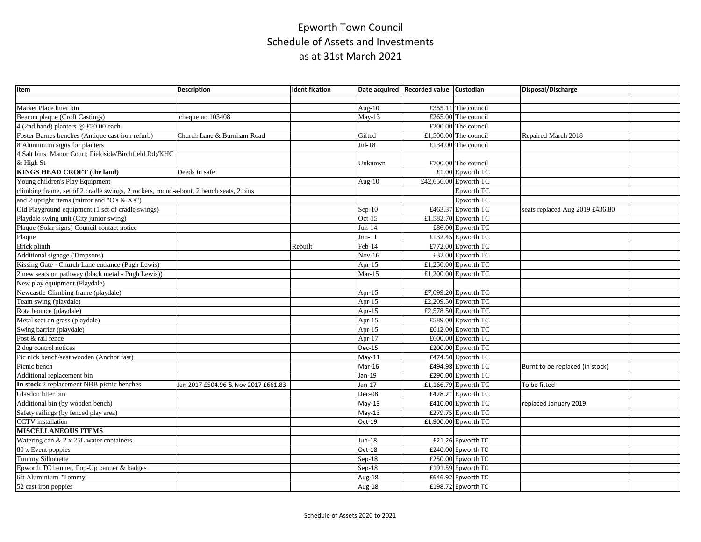| Item                                                                                   | <b>Description</b>                  | Identification |                            | Date acquired Recorded value Custodian |                       | Disposal/Discharge              |  |
|----------------------------------------------------------------------------------------|-------------------------------------|----------------|----------------------------|----------------------------------------|-----------------------|---------------------------------|--|
|                                                                                        |                                     |                |                            |                                        |                       |                                 |  |
| Market Place litter bin                                                                |                                     |                | Aug- $10$                  |                                        | £355.11 The council   |                                 |  |
| <b>Beacon plaque (Croft Castings)</b>                                                  | cheque no 103408                    |                | $May-13$                   |                                        | £265.00 The council   |                                 |  |
| 4 (2nd hand) planters @ £50.00 each                                                    |                                     |                |                            |                                        | £200.00 The council   |                                 |  |
| Foster Barnes benches (Antique cast iron refurb)                                       | Church Lane & Burnham Road          |                | Gifted                     |                                        | £1.500.00 The council | Repaired March 2018             |  |
| 8 Aluminium signs for planters                                                         |                                     |                | $Jul-18$                   |                                        | £134.00 The council   |                                 |  |
| 4 Salt bins Manor Court; Fieldside/Birchfield Rd;/KHC                                  |                                     |                |                            |                                        |                       |                                 |  |
| & High St                                                                              |                                     |                | Unknown                    |                                        | £700.00 The council   |                                 |  |
| <b>KINGS HEAD CROFT (the land)</b>                                                     | Deeds in safe                       |                |                            |                                        | £1.00 Epworth TC      |                                 |  |
| Young children's Play Equipment                                                        |                                     |                | Aug- $10$                  |                                        | £42,656.00 Epworth TC |                                 |  |
| climbing frame, set of 2 cradle swings, 2 rockers, round-a-bout, 2 bench seats, 2 bins |                                     |                |                            |                                        | Epworth TC            |                                 |  |
| and 2 upright items (mirror and "O's & X's")                                           |                                     |                |                            |                                        | Epworth TC            |                                 |  |
| Old Playground equipment (1 set of cradle swings)                                      |                                     |                | $Sep-10$                   |                                        | £463.37 Epworth TC    | seats replaced Aug 2019 £436.80 |  |
| Playdale swing unit (City junior swing)                                                |                                     |                | $Oct-15$                   |                                        | £1,582.70 Epworth TC  |                                 |  |
| Plaque (Solar signs) Council contact notice                                            |                                     |                | $Jun-14$                   |                                        | £86.00 Epworth TC     |                                 |  |
| Plaque                                                                                 |                                     |                | $Jun-11$                   |                                        | £132.45 Epworth TC    |                                 |  |
| Brick plinth                                                                           |                                     | Rebuilt        | Feb-14                     |                                        | £772.00 Epworth TC    |                                 |  |
| Additional signage (Timpsons)                                                          |                                     |                | $Nov-16$                   |                                        | £32.00 Epworth TC     |                                 |  |
| Kissing Gate - Church Lane entrance (Pugh Lewis)                                       |                                     |                | Apr-15                     |                                        | £1,250.00 Epworth TC  |                                 |  |
| 2 new seats on pathway (black metal - Pugh Lewis))                                     |                                     |                | $Mar-15$                   |                                        | £1,200.00 Epworth TC  |                                 |  |
| New play equipment (Playdale)                                                          |                                     |                |                            |                                        |                       |                                 |  |
| Newcastle Climbing frame (playdale)                                                    |                                     |                | Apr-15                     |                                        | £7,099.20 Epworth TC  |                                 |  |
| Team swing (playdale)                                                                  |                                     |                | Apr-15                     |                                        | £2,209.50 Epworth TC  |                                 |  |
| Rota bounce (playdale)                                                                 |                                     |                | Apr-15                     |                                        | £2,578.50 Epworth TC  |                                 |  |
| Metal seat on grass (playdale)                                                         |                                     |                | Apr-15                     |                                        | £589.00 Epworth TC    |                                 |  |
| Swing barrier (playdale)                                                               |                                     |                | Apr-15                     |                                        | £612.00 Epworth TC    |                                 |  |
| Post & rail fence                                                                      |                                     |                | Apr-17                     |                                        | £600.00 Epworth TC    |                                 |  |
| 2 dog control notices                                                                  |                                     |                | <b>Dec-15</b>              |                                        | £200.00 Epworth TC    |                                 |  |
| Pic nick bench/seat wooden (Anchor fast)                                               |                                     |                | $May-11$                   |                                        | £474.50 Epworth TC    |                                 |  |
| Picnic bench                                                                           |                                     |                | Mar-16                     |                                        | £494.98 Epworth TC    | Burnt to be replaced (in stock) |  |
| Additional replacement bin                                                             |                                     |                | Jan-19                     |                                        | £290.00 Epworth TC    |                                 |  |
| In stock 2 replacement NBB picnic benches                                              | Jan 2017 £504.96 & Nov 2017 £661.83 |                | Jan-17                     |                                        | £1,166.79 Epworth TC  | To be fitted                    |  |
| Glasdon litter bin                                                                     |                                     |                | Dec-08                     |                                        | £428.21 Epworth TC    |                                 |  |
| Additional bin (by wooden bench)                                                       |                                     |                | $May-13$                   |                                        | £410.00 Epworth TC    | replaced January 2019           |  |
| Safety railings (by fenced play area)                                                  |                                     |                | $\overline{\text{May-13}}$ |                                        | £279.75 Epworth TC    |                                 |  |
| <b>CCTV</b> installation                                                               |                                     |                | Oct-19                     |                                        | £1,900.00 Epworth TC  |                                 |  |
| <b>MISCELLANEOUS ITEMS</b>                                                             |                                     |                |                            |                                        |                       |                                 |  |
| Watering can & 2 x 25L water containers                                                |                                     |                | Jun-18                     |                                        | £21.26 Epworth TC     |                                 |  |
| 80 x Event poppies                                                                     |                                     |                | $Oct-18$                   |                                        | £240.00 Epworth TC    |                                 |  |
| Tommy Silhouette                                                                       |                                     |                | $Sep-18$                   |                                        | £250.00 Epworth TC    |                                 |  |
| Epworth TC banner, Pop-Up banner & badges                                              |                                     |                | $Sep-18$                   |                                        | £191.59 Epworth TC    |                                 |  |
| 6ft Aluminium "Tommy"                                                                  |                                     |                | Aug- $18$                  |                                        | £646.92 Epworth TC    |                                 |  |
| 52 cast iron poppies                                                                   |                                     |                | Aug-18                     |                                        | £198.72 Epworth TC    |                                 |  |